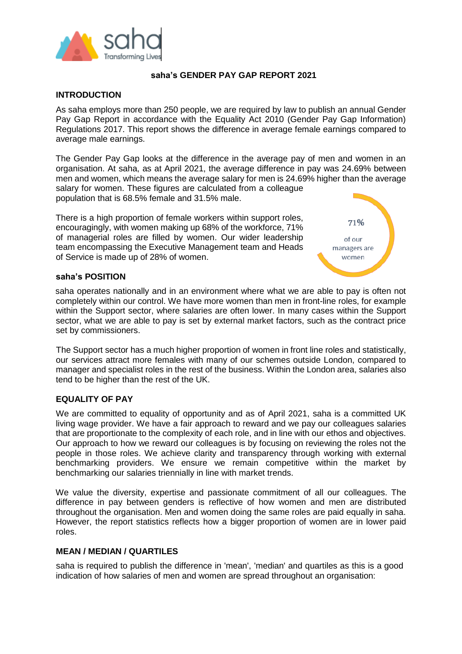

### **saha's GENDER PAY GAP REPORT 2021**

## **INTRODUCTION**

As saha employs more than 250 people, we are required by law to publish an annual Gender Pay Gap Report in accordance with the Equality Act 2010 (Gender Pay Gap Information) Regulations 2017. This report shows the difference in average female earnings compared to average male earnings.

The Gender Pay Gap looks at the difference in the average pay of men and women in an organisation. At saha, as at April 2021, the average difference in pay was 24.69% between men and women, which means the average salary for men is 24.69% higher than the average salary for women. These figures are calculated from a colleague population that is 68.5% female and 31.5% male.

There is a high proportion of female workers within support roles, encouragingly, with women making up 68% of the workforce, 71% of managerial roles are filled by women. Our wider leadership team encompassing the Executive Management team and Heads of Service is made up of 28% of women.



#### **saha's POSITION**

saha operates nationally and in an environment where what we are able to pay is often not completely within our control. We have more women than men in front-line roles, for example within the Support sector, where salaries are often lower. In many cases within the Support sector, what we are able to pay is set by external market factors, such as the contract price set by commissioners.

The Support sector has a much higher proportion of women in front line roles and statistically, our services attract more females with many of our schemes outside London, compared to manager and specialist roles in the rest of the business. Within the London area, salaries also tend to be higher than the rest of the UK.

### **EQUALITY OF PAY**

We are committed to equality of opportunity and as of April 2021, saha is a committed UK living wage provider. We have a fair approach to reward and we pay our colleagues salaries that are proportionate to the complexity of each role, and in line with our ethos and objectives. Our approach to how we reward our colleagues is by focusing on reviewing the roles not the people in those roles. We achieve clarity and transparency through working with external benchmarking providers. We ensure we remain competitive within the market by benchmarking our salaries triennially in line with market trends.

We value the diversity, expertise and passionate commitment of all our colleagues. The difference in pay between genders is reflective of how women and men are distributed throughout the organisation. Men and women doing the same roles are paid equally in saha. However, the report statistics reflects how a bigger proportion of women are in lower paid roles.

### **MEAN / MEDIAN / QUARTILES**

saha is required to publish the difference in 'mean', 'median' and quartiles as this is a good indication of how salaries of men and women are spread throughout an organisation: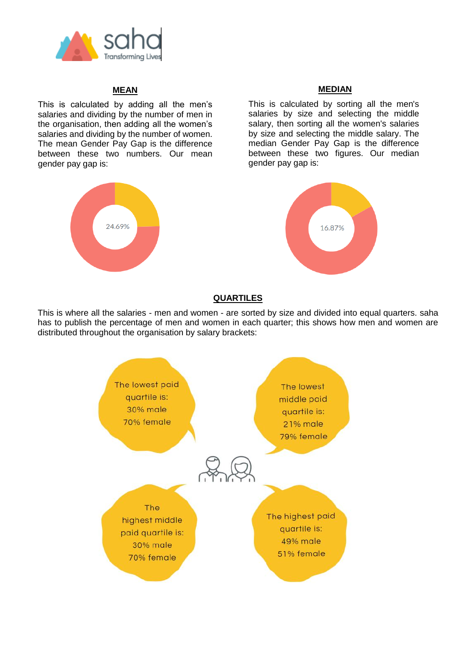

# **MEAN**

This is calculated by adding all the men's salaries and dividing by the number of men in the organisation, then adding all the women's salaries and dividing by the number of women. The mean Gender Pay Gap is the difference between these two numbers. Our mean gender pay gap is:



### **MEDIAN**

This is calculated by sorting all the men's salaries by size and selecting the middle salary, then sorting all the women's salaries by size and selecting the middle salary. The median Gender Pay Gap is the difference between these two figures. Our median gender pay gap is:



## **QUARTILES**

This is where all the salaries - men and women - are sorted by size and divided into equal quarters. saha has to publish the percentage of men and women in each quarter; this shows how men and women are distributed throughout the organisation by salary brackets: